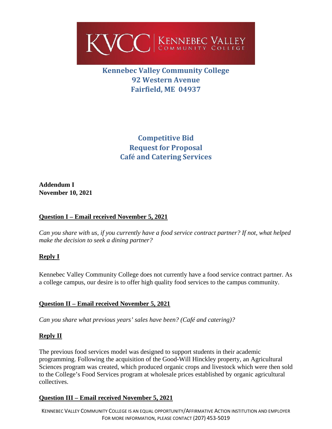

# **Kennebec Valley Community College 92 Western Avenue Fairfield, ME 04937**

**Competitive Bid Request for Proposal Café and Catering Services**

**Addendum I November 10, 2021**

## **Question I – Email received November 5, 2021**

*Can you share with us, if you currently have a food service contract partner? If not, what helped make the decision to seek a dining partner?* 

## **Reply I**

Kennebec Valley Community College does not currently have a food service contract partner. As a college campus, our desire is to offer high quality food services to the campus community.

## **Question II – Email received November 5, 2021**

*Can you share what previous years' sales have been? (Café and catering)?*

## **Reply II**

The previous food services model was designed to support students in their academic programming. Following the acquisition of the Good-Will Hinckley property, an Agricultural Sciences program was created, which produced organic crops and livestock which were then sold to the College's Food Services program at wholesale prices established by organic agricultural collectives.

## **Question III – Email received November 5, 2021**

KENNEBEC VALLEY COMMUNITY COLLEGE IS AN EQUAL OPPORTUNITY/AFFIRMATIVE ACTION INSTITUTION AND EMPLOYER FOR MORE INFORMATION, PLEASE CONTACT (207) 453-5019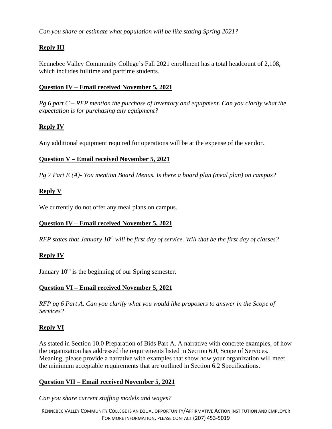*Can you share or estimate what population will be like stating Spring 2021?*

# **Reply III**

Kennebec Valley Community College's Fall 2021 enrollment has a total headcount of 2,108, which includes fulltime and parttime students.

#### **Question IV – Email received November 5, 2021**

*Pg 6 part C – RFP mention the purchase of inventory and equipment. Can you clarify what the expectation is for purchasing any equipment?* 

## **Reply IV**

Any additional equipment required for operations will be at the expense of the vendor.

## **Question V – Email received November 5, 2021**

*Pg 7 Part E (A)- You mention Board Menus. Is there a board plan (meal plan) on campus?* 

## **Reply V**

We currently do not offer any meal plans on campus.

# **Question IV – Email received November 5, 2021**

*RFP states that January 10<sup>th</sup> will be first day of service. Will that be the first day of classes?* 

## **Reply IV**

January  $10<sup>th</sup>$  is the beginning of our Spring semester.

## **Question VI – Email received November 5, 2021**

*RFP pg 6 Part A. Can you clarify what you would like proposers to answer in the Scope of Services?* 

## **Reply VI**

As stated in Section 10.0 Preparation of Bids Part A. A narrative with concrete examples, of how the organization has addressed the requirements listed in Section 6.0, Scope of Services. Meaning, please provide a narrative with examples that show how your organization will meet the minimum acceptable requirements that are outlined in Section 6.2 Specifications.

## **Question VII – Email received November 5, 2021**

*Can you share current staffing models and wages?* 

KENNEBEC VALLEY COMMUNITY COLLEGE IS AN EQUAL OPPORTUNITY/AFFIRMATIVE ACTION INSTITUTION AND EMPLOYER FOR MORE INFORMATION, PLEASE CONTACT (207) 453-5019